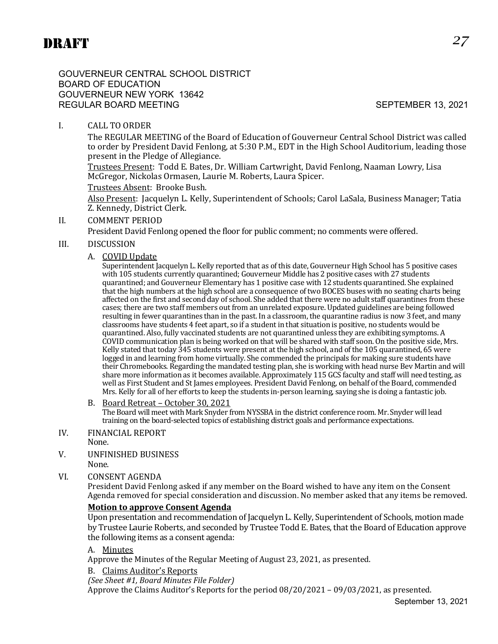GOUVERNEUR CENTRAL SCHOOL DISTRICT BOARD OF EDUCATION GOUVERNEUR NEW YORK 13642 REGULAR BOARD MEETING SEPTEMBER 13, 2021

# I. CALL TO ORDER

The REGULAR MEETING of the Board of Education of Gouverneur Central School District was called to order by President David Fenlong, at 5:30 P.M., EDT in the High School Auditorium, leading those present in the Pledge of Allegiance.

Trustees Present: Todd E. Bates, Dr. William Cartwright, David Fenlong, Naaman Lowry, Lisa McGregor, Nickolas Ormasen, Laurie M. Roberts, Laura Spicer.

#### Trustees Absent: Brooke Bush.

Also Present: Jacquelyn L. Kelly, Superintendent of Schools; Carol LaSala, Business Manager; Tatia Z. Kennedy, District Clerk.

#### II. COMMENT PERIOD

President David Fenlong opened the floor for public comment; no comments were offered.

#### III. DISCUSSION

#### A. COVID Update

Superintendent Jacquelyn L. Kelly reported that as of this date, Gouverneur High School has 5 positive cases with 105 students currently quarantined; Gouverneur Middle has 2 positive cases with 27 students quarantined; and Gouverneur Elementary has 1 positive case with 12 students quarantined. She explained that the high numbers at the high school are a consequence of two BOCES buses with no seating charts being affected on the first and second day of school. She added that there were no adult staff quarantines from these cases; there are two staff members out from an unrelated exposure. Updated guidelines are being followed resulting in fewer quarantines than in the past. In a classroom, the quarantine radius is now 3 feet, and many classrooms have students 4 feet apart, so if a student in that situation is positive, no students would be quarantined. Also, fully vaccinated students are not quarantined unless they are exhibiting symptoms. A COVID communication plan is being worked on that will be shared with staff soon. On the positive side, Mrs. Kelly stated that today 345 students were present at the high school, and of the 105 quarantined, 65 were logged in and learning from home virtually. She commended the principals for making sure students have their Chromebooks. Regarding the mandated testing plan, she is working with head nurse Bev Martin and will share more information as it becomes available. Approximately 115 GCS faculty and staff will need testing, as well as First Student and St James employees. President David Fenlong, on behalf of the Board, commended Mrs. Kelly for all of her efforts to keep the students in-person learning, saying she is doing a fantastic job.

#### B. Board Retreat – October 30, 2021

The Board will meet with Mark Snyder from NYSSBA in the district conference room. Mr. Snyder will lead training on the board-selected topics of establishing district goals and performance expectations.

- IV. FINANCIAL REPORT
	- None.
- V. UNFINISHED BUSINESS
- None.
- VI. CONSENT AGENDA

President David Fenlong asked if any member on the Board wished to have any item on the Consent Agenda removed for special consideration and discussion. No member asked that any items be removed.

#### **Motion to approve Consent Agenda**

Upon presentation and recommendation of Jacquelyn L. Kelly, Superintendent of Schools, motion made by Trustee Laurie Roberts, and seconded by Trustee Todd E. Bates, that the Board of Education approve the following items as a consent agenda:

#### A. Minutes

Approve the Minutes of the Regular Meeting of August 23, 2021, as presented.

B. Claims Auditor's Reports

*(See Sheet #1, Board Minutes File Folder)*

Approve the Claims Auditor's Reports for the period 08/20/2021 – 09/03/2021, as presented.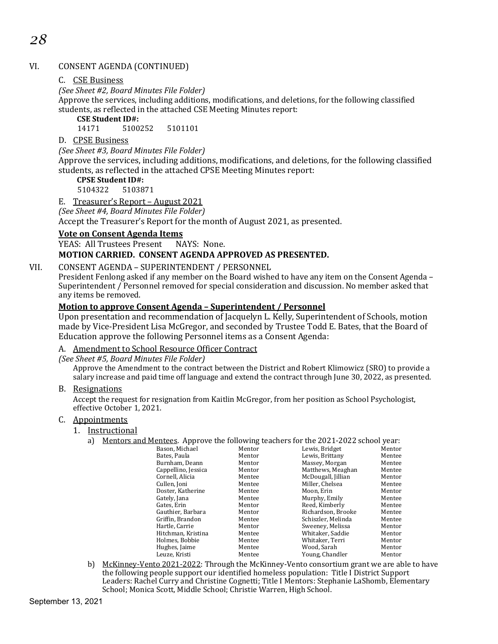# VI. CONSENT AGENDA (CONTINUED)

# C. CSE Business

*(See Sheet #2, Board Minutes File Folder)*

Approve the services, including additions, modifications, and deletions, for the following classified students, as reflected in the attached CSE Meeting Minutes report:

# **CSE Student ID#:**

5100252 5101101

#### D. CPSE Business

#### *(See Sheet #3, Board Minutes File Folder)*

Approve the services, including additions, modifications, and deletions, for the following classified students, as reflected in the attached CPSE Meeting Minutes report:

# **CPSE Student ID#:**

5104322 5103871

#### E. Treasurer's Report – August 2021

*(See Sheet #4, Board Minutes File Folder)*

Accept the Treasurer's Report for the month of August 2021, as presented.

#### **Vote on Consent Agenda Items**

YEAS: All Trustees Present NAYS: None.

# **MOTION CARRIED. CONSENT AGENDA APPROVED AS PRESENTED.**

#### VII. CONSENT AGENDA – SUPERINTENDENT / PERSONNEL

President Fenlong asked if any member on the Board wished to have any item on the Consent Agenda – Superintendent / Personnel removed for special consideration and discussion. No member asked that any items be removed.

#### **Motion to approve Consent Agenda – Superintendent / Personnel**

Upon presentation and recommendation of Jacquelyn L. Kelly, Superintendent of Schools, motion made by Vice-President Lisa McGregor, and seconded by Trustee Todd E. Bates, that the Board of Education approve the following Personnel items as a Consent Agenda:

#### A. Amendment to School Resource Officer Contract

*(See Sheet #5, Board Minutes File Folder)*

Approve the Amendment to the contract between the District and Robert Klimowicz (SRO) to provide a salary increase and paid time off language and extend the contract through June 30, 2022, as presented.

#### B. Resignations

Accept the request for resignation from Kaitlin McGregor, from her position as School Psychologist, effective October 1, 2021.

#### C. Appointments

- 1. Instructional
	- a) Mentors and Mentees. Approve the following teachers for the 2021-2022 school year:

| Bason. Michael      | Mentor | Lewis. Bridget     | Mentor |
|---------------------|--------|--------------------|--------|
| Bates. Paula        | Mentor | Lewis. Brittany    | Mentee |
| Burnham, Deann      | Mentor | Massey, Morgan     | Mentee |
| Cappellino, Jessica | Mentor | Matthews, Meaghan  | Mentee |
| Cornell, Alicia     | Mentee | McDougall, Jillian | Mentor |
| Cullen, Joni        | Mentee | Miller, Chelsea    | Mentee |
| Doster, Katherine   | Mentee | Moon, Erin         | Mentor |
| Gately, Jana        | Mentee | Murphy, Emily      | Mentee |
| Gates, Erin         | Mentor | Reed, Kimberly     | Mentee |
| Gauthier, Barbara   | Mentor | Richardson, Brooke | Mentee |
| Griffin. Brandon    | Mentee | Schiszler, Melinda | Mentee |
| Hartle, Carrie      | Mentor | Sweeney, Melissa   | Mentor |
| Hitchman, Kristina  | Mentee | Whitaker, Saddie   | Mentor |
| Holmes, Bobbie      | Mentee | Whitaker, Terri    | Mentor |
| Hughes, Jaime       | Mentee | Wood, Sarah        | Mentor |
| Leuze, Kristi       | Mentee | Young, Chandler    | Mentor |
|                     |        |                    |        |

b) McKinney-Vento 2021-2022: Through the McKinney-Vento consortium grant we are able to have the following people support our identified homeless population: Title I District Support Leaders: Rachel Curry and Christine Cognetti; Title I Mentors: Stephanie LaShomb, Elementary School; Monica Scott, Middle School; Christie Warren, High School.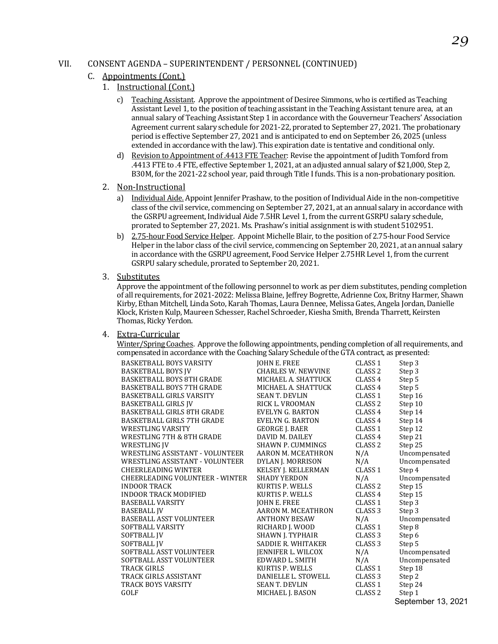#### VII. CONSENT AGENDA – SUPERINTENDENT / PERSONNEL (CONTINUED)

#### C. Appointments (Cont.)

- 1. Instructional (Cont.)
	- c) Teaching Assistant. Approve the appointment of Desiree Simmons, who is certified as Teaching Assistant Level 1, to the position of teaching assistant in the Teaching Assistant tenure area, at an annual salary of Teaching Assistant Step 1 in accordance with the Gouverneur Teachers' Association Agreement current salary schedule for 2021-22, prorated to September 27, 2021. The probationary period is effective September 27, 2021 and is anticipated to end on September 26, 2025 (unless extended in accordance with the law). This expiration date is tentative and conditional only.
	- d) Revision to Appointment of .4413 FTE Teacher: Revise the appointment of Judith Tomford from .4413 FTE to .4 FTE, effective September 1, 2021, at an adjusted annual salary of \$21,000, Step 2, B30M, for the 2021-22 school year, paid through Title I funds. This is a non-probationary position.
- 2. Non-Instructional
	- a) Individual Aide. Appoint Jennifer Prashaw, to the position of Individual Aide in the non-competitive class of the civil service, commencing on September 27, 2021, at an annual salary in accordance with the GSRPU agreement, Individual Aide 7.5HR Level 1, from the current GSRPU salary schedule, prorated to September 27, 2021. Ms. Prashaw's initial assignment is with student 5102951.
	- b) 2.75-hour Food Service Helper. Appoint Michelle Blair, to the position of 2.75-hour Food Service Helper in the labor class of the civil service, commencing on September 20, 2021, at an annual salary in accordance with the GSRPU agreement, Food Service Helper 2.75HR Level 1, from the current GSRPU salary schedule, prorated to September 20, 2021.
- 3. Substitutes

Approve the appointment of the following personnel to work as per diem substitutes, pending completion of all requirements, for 2021-2022: Melissa Blaine, Jeffrey Bogrette, Adrienne Cox, Britny Harmer, Shawn Kirby, Ethan Mitchell, Linda Soto, Karah Thomas, Laura Dennee, Melissa Gates, Angela Jordan, Danielle Klock, Kristen Kulp, Maureen Schesser, Rachel Schroeder, Kiesha Smith, Brenda Tharrett, Keirsten Thomas, Ricky Yerdon.

#### 4. Extra-Curricular

Winter/Spring Coaches. Approve the following appointments, pending completion of all requirements, and compensated in accordance with the Coaching Salary Schedule of the GTA contract, as presented:

| <b>BASKETBALL BOYS VARSITY</b>    | JOHN E. FREE               | CLASS <sub>1</sub> | Step 3                                                                                                                                                                                                                                                                                                                                                                               |
|-----------------------------------|----------------------------|--------------------|--------------------------------------------------------------------------------------------------------------------------------------------------------------------------------------------------------------------------------------------------------------------------------------------------------------------------------------------------------------------------------------|
| <b>BASKETBALL BOYS JV</b>         | <b>CHARLES W. NEWVINE</b>  | CLASS <sub>2</sub> | Step 3                                                                                                                                                                                                                                                                                                                                                                               |
| <b>BASKETBALL BOYS 8TH GRADE</b>  | MICHAEL A. SHATTUCK        | CLASS 4            | Step 5                                                                                                                                                                                                                                                                                                                                                                               |
| <b>BASKETBALL BOYS 7TH GRADE</b>  | MICHAEL A. SHATTUCK        | CLASS <sub>4</sub> | Step 5                                                                                                                                                                                                                                                                                                                                                                               |
| <b>BASKETBALL GIRLS VARSITY</b>   | <b>SEAN T. DEVLIN</b>      | CLASS 1            | Step 16                                                                                                                                                                                                                                                                                                                                                                              |
| <b>BASKETBALL GIRLS JV</b>        | RICK L. VROOMAN            | CLASS <sub>2</sub> | Step 10                                                                                                                                                                                                                                                                                                                                                                              |
| <b>BASKETBALL GIRLS 8TH GRADE</b> | EVELYN G. BARTON           | CLASS <sub>4</sub> | Step 14                                                                                                                                                                                                                                                                                                                                                                              |
| <b>BASKETBALL GIRLS 7TH GRADE</b> | EVELYN G. BARTON           | CLASS <sub>4</sub> | Step 14                                                                                                                                                                                                                                                                                                                                                                              |
| <b>WRESTLING VARSITY</b>          | <b>GEORGE J. BAER</b>      | CLASS <sub>1</sub> | Step 12                                                                                                                                                                                                                                                                                                                                                                              |
| WRESTLING 7TH & 8TH GRADE         | DAVID M. DAILEY            | CLASS <sub>4</sub> | Step 21                                                                                                                                                                                                                                                                                                                                                                              |
| WRESTLING IV                      | SHAWN P. CUMMINGS          | CLASS <sub>2</sub> | Step 25                                                                                                                                                                                                                                                                                                                                                                              |
| WRESTLING ASSISTANT - VOLUNTEER   | AARON M. MCEATHRON         | N/A                | Uncompensated                                                                                                                                                                                                                                                                                                                                                                        |
| WRESTLING ASSISTANT - VOLUNTEER   | DYLAN J. MORRISON          | N/A                | Uncompensated                                                                                                                                                                                                                                                                                                                                                                        |
| CHEERLEADING WINTER               | <b>KELSEY J. KELLERMAN</b> | CLASS <sub>1</sub> | Step 4                                                                                                                                                                                                                                                                                                                                                                               |
| CHEERLEADING VOLUNTEER - WINTER   | <b>SHADY YERDON</b>        | N/A                | Uncompensated                                                                                                                                                                                                                                                                                                                                                                        |
| <b>INDOOR TRACK</b>               | KURTIS P. WELLS            | CLASS <sub>2</sub> | Step 15                                                                                                                                                                                                                                                                                                                                                                              |
| <b>INDOOR TRACK MODIFIED</b>      | KURTIS P. WELLS            | CLASS <sub>4</sub> | Step 15                                                                                                                                                                                                                                                                                                                                                                              |
| <b>BASEBALL VARSITY</b>           | JOHN E. FREE               | CLASS <sub>1</sub> | Step 3                                                                                                                                                                                                                                                                                                                                                                               |
| BASEBALL JV                       | AARON M. MCEATHRON         | CLASS <sub>3</sub> | Step 3                                                                                                                                                                                                                                                                                                                                                                               |
| <b>BASEBALL ASST VOLUNTEER</b>    | <b>ANTHONY BESAW</b>       | N/A                | Uncompensated                                                                                                                                                                                                                                                                                                                                                                        |
| SOFTBALL VARSITY                  | RICHARD J. WOOD            | CLASS <sub>1</sub> | Step 8                                                                                                                                                                                                                                                                                                                                                                               |
| <b>SOFTBALL IV</b>                | SHAWN J. TYPHAIR           | CLASS <sub>3</sub> | Step 6                                                                                                                                                                                                                                                                                                                                                                               |
| SOFTBALL JV                       | <b>SADDIE R. WHITAKER</b>  | CLASS <sub>3</sub> | Step 5                                                                                                                                                                                                                                                                                                                                                                               |
| SOFTBALL ASST VOLUNTEER           | JENNIFER L. WILCOX         | N/A                | Uncompensated                                                                                                                                                                                                                                                                                                                                                                        |
| SOFTBALL ASST VOLUNTEER           | EDWARD L. SMITH            | N/A                | Uncompensated                                                                                                                                                                                                                                                                                                                                                                        |
| TRACK GIRLS                       | KURTIS P. WELLS            | CLASS <sub>1</sub> | Step 18                                                                                                                                                                                                                                                                                                                                                                              |
| TRACK GIRLS ASSISTANT             | DANIELLE L. STOWELL        | CLASS <sub>3</sub> | Step 2                                                                                                                                                                                                                                                                                                                                                                               |
| TRACK BOYS VARSITY                | <b>SEAN T. DEVLIN</b>      | CLASS <sub>1</sub> | Step 24                                                                                                                                                                                                                                                                                                                                                                              |
| GOLF                              | MICHAEL J. BASON           | CLASS <sub>2</sub> | Step 1                                                                                                                                                                                                                                                                                                                                                                               |
|                                   |                            |                    | $\overline{1}$ $\overline{1}$ $\overline{1}$ $\overline{1}$ $\overline{1}$ $\overline{1}$ $\overline{1}$ $\overline{1}$ $\overline{1}$ $\overline{1}$ $\overline{1}$ $\overline{1}$ $\overline{1}$ $\overline{1}$ $\overline{1}$ $\overline{1}$ $\overline{1}$ $\overline{1}$ $\overline{1}$ $\overline{1}$ $\overline{1}$ $\overline{1}$ $\overline{1}$ $\overline{1}$ $\overline{$ |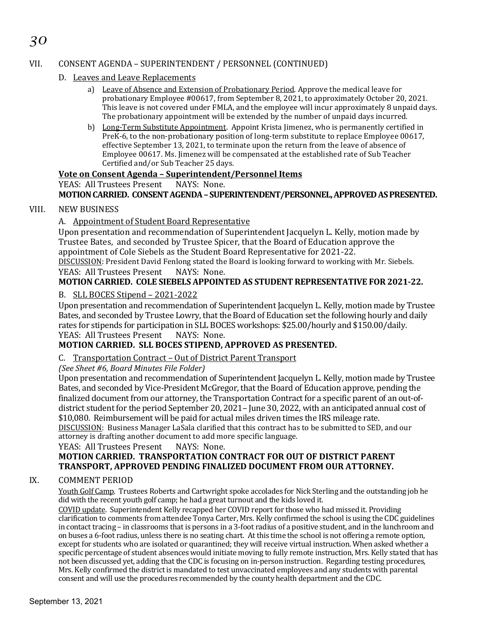# *30*

# VII. CONSENT AGENDA – SUPERINTENDENT / PERSONNEL (CONTINUED)

- D. Leaves and Leave Replacements
	- a) Leave of Absence and Extension of Probationary Period. Approve the medical leave for probationary Employee #00617, from September 8, 2021, to approximately October 20, 2021. This leave is not covered under FMLA, and the employee will incur approximately 8 unpaid days. The probationary appointment will be extended by the number of unpaid days incurred.
	- b) Long-Term Substitute Appointment. Appoint Krista Jimenez, who is permanently certified in PreK-6, to the non-probationary position of long-term substitute to replace Employee 00617, effective September 13, 2021, to terminate upon the return from the leave of absence of Employee 00617. Ms. Jimenez will be compensated at the established rate of Sub Teacher Certified and/or Sub Teacher 25 days.

# **Vote on Consent Agenda – Superintendent/Personnel Items**

YEAS: All Trustees Present NAYS: None.

# **MOTION CARRIED. CONSENT AGENDA– SUPERINTENDENT/PERSONNEL,APPROVED AS PRESENTED.**

#### VIII. NEW BUSINESS

#### A. Appointment of Student Board Representative

Upon presentation and recommendation of Superintendent Jacquelyn L. Kelly, motion made by Trustee Bates, and seconded by Trustee Spicer, that the Board of Education approve the appointment of Cole Siebels as the Student Board Representative for 2021-22.

DISCUSSION: President David Fenlong stated the Board is looking forward to working with Mr. Siebels.<br>YEAS: All Trustees Present NAYS: None. YEAS: All Trustees Present

# **MOTION CARRIED. COLE SIEBELS APPOINTED AS STUDENT REPRESENTATIVE FOR 2021-22.**

#### B. SLL BOCES Stipend – 2021-2022

Upon presentation and recommendation of Superintendent Jacquelyn L. Kelly, motion made by Trustee Bates, and seconded by Trustee Lowry, that the Board of Education set the following hourly and daily rates for stipends for participation in SLL BOCES workshops: \$25.00/hourly and \$150.00/daily.<br>YEAS: All Trustees Present NAYS: None. YEAS: All Trustees Present

# **MOTION CARRIED. SLL BOCES STIPEND, APPROVED AS PRESENTED.**

#### C. Transportation Contract – Out of District Parent Transport

*(See Sheet #6, Board Minutes File Folder)*

Upon presentation and recommendation of Superintendent Jacquelyn L. Kelly, motion made by Trustee Bates, and seconded by Vice-President McGregor, that the Board of Education approve, pending the finalized document from our attorney, the Transportation Contract for a specific parent of an out-ofdistrict student for the period September 20, 2021– June 30, 2022, with an anticipated annual cost of \$10,080. Reimbursement will be paid for actual miles driven times the IRS mileage rate. DISCUSSION: Business Manager LaSala clarified that this contract has to be submitted to SED, and our

attorney is drafting another document to add more specific language.<br>YEAS: All Trustees Present NAYS: None.

#### YEAS: All Trustees Present

# **MOTION CARRIED. TRANSPORTATION CONTRACT FOR OUT OF DISTRICT PARENT TRANSPORT, APPROVED PENDING FINALIZED DOCUMENT FROM OUR ATTORNEY.**

#### IX. COMMENT PERIOD

Youth Golf Camp. Trustees Roberts and Cartwright spoke accolades for Nick Sterling and the outstanding job he did with the recent youth golf camp; he had a great turnout and the kids loved it.

COVID update. Superintendent Kelly recapped her COVID report for those who had missed it. Providing clarification to comments from attendee Tonya Carter, Mrs. Kelly confirmed the school is using the CDC guidelines in contact tracing – in classrooms that is persons in a 3-foot radius of a positive student, and in the lunchroom and on buses a 6-foot radius, unless there is no seating chart. At this time the school is not offering a remote option, except for students who are isolated or quarantined; they will receive virtual instruction. When asked whether a specific percentage of student absences would initiate moving to fully remote instruction, Mrs. Kelly stated that has not been discussed yet, adding that the CDC is focusing on in-person instruction. Regarding testing procedures, Mrs. Kelly confirmed the district is mandated to test unvaccinated employees and any students with parental consent and will use the procedures recommended by the county health department and the CDC.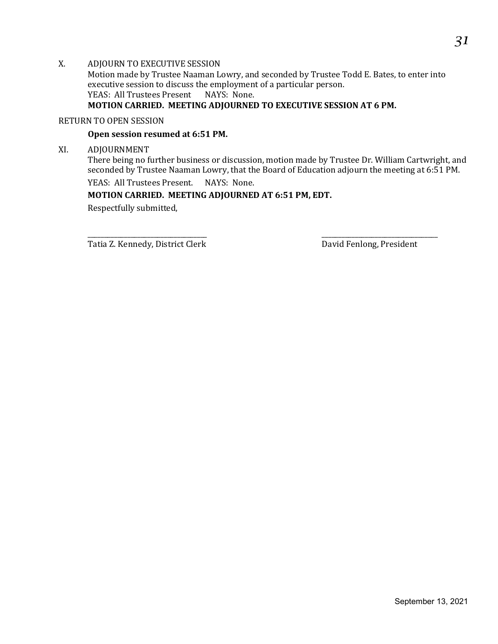X. ADJOURN TO EXECUTIVE SESSION Motion made by Trustee Naaman Lowry, and seconded by Trustee Todd E. Bates, to enter into executive session to discuss the employment of a particular person.<br>YEAS: All Trustees Present NAYS: None. YEAS: All Trustees Present **MOTION CARRIED. MEETING ADJOURNED TO EXECUTIVE SESSION AT 6 PM.**

#### RETURN TO OPEN SESSION

#### **Open session resumed at 6:51 PM.**

XI. ADJOURNMENT

There being no further business or discussion, motion made by Trustee Dr. William Cartwright, and seconded by Trustee Naaman Lowry, that the Board of Education adjourn the meeting at 6:51 PM.

YEAS: All Trustees Present. NAYS: None.

#### **MOTION CARRIED. MEETING ADJOURNED AT 6:51 PM, EDT.**

Respectfully submitted,

\_\_\_\_\_\_\_\_\_\_\_\_\_\_\_\_\_\_\_\_\_\_\_\_\_\_\_\_\_\_\_\_\_\_\_\_ \_\_\_\_\_\_\_\_\_\_\_\_\_\_\_\_\_\_\_\_\_\_\_\_\_\_\_\_\_\_\_\_\_\_\_ Tatia Z. Kennedy, District Clerk David Fenlong, President